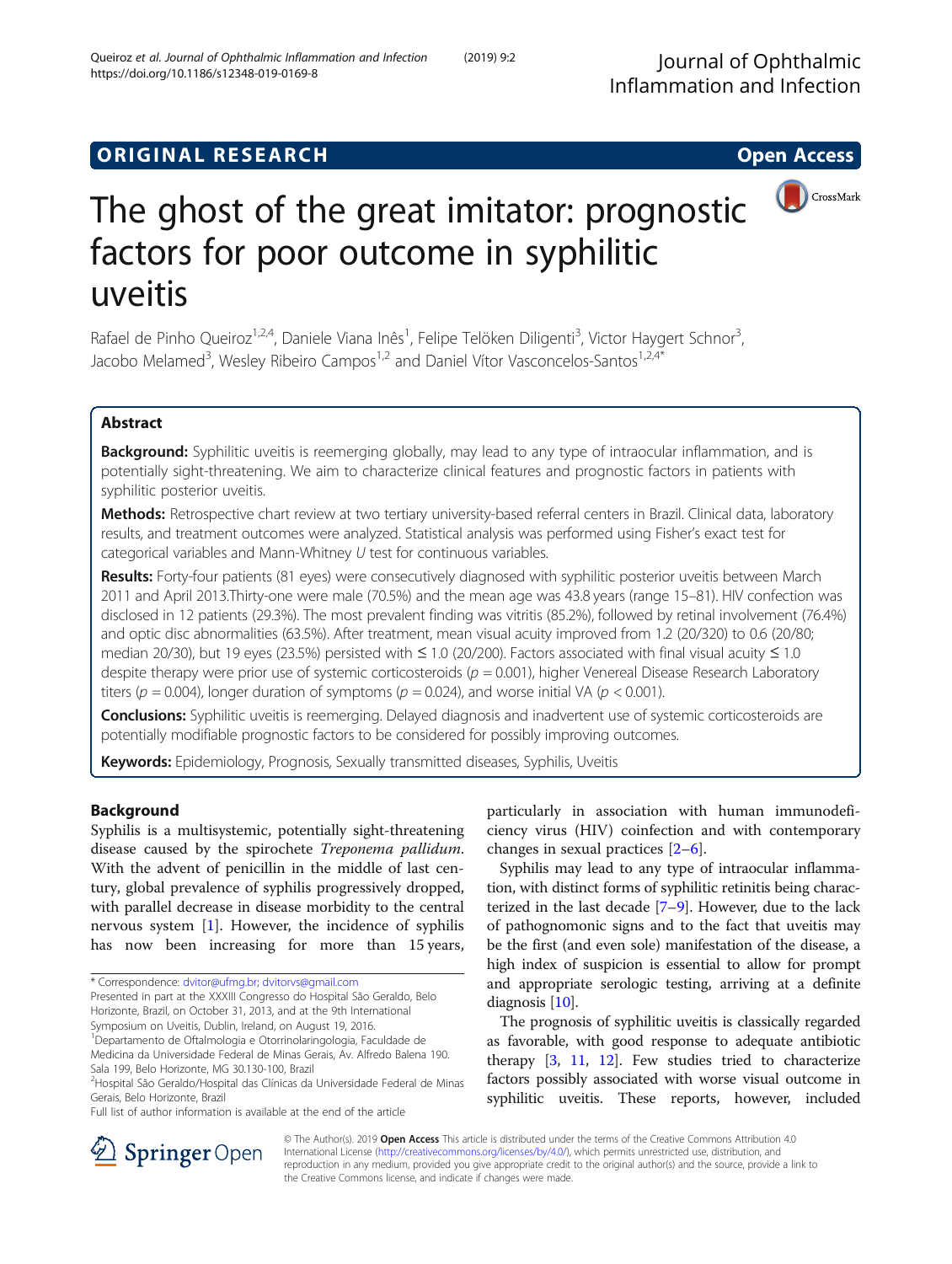## **ORIGINAL RESEARCH CONSUMING ACCESS**



# The ghost of the great imitator: prognostic factors for poor outcome in syphilitic uveitis

Rafael de Pinho Queiroz<sup>1,2,4</sup>, Daniele Viana Inês<sup>1</sup>, Felipe Telöken Diligenti<sup>3</sup>, Victor Haygert Schnor<sup>3</sup> , Jacobo Melamed<sup>3</sup>, Wesley Ribeiro Campos<sup>1,2</sup> and Daniel Vítor Vasconcelos-Santos<sup>1,2,4\*</sup>

## Abstract

Background: Syphilitic uveitis is reemerging globally, may lead to any type of intraocular inflammation, and is potentially sight-threatening. We aim to characterize clinical features and prognostic factors in patients with syphilitic posterior uveitis.

Methods: Retrospective chart review at two tertiary university-based referral centers in Brazil. Clinical data, laboratory results, and treatment outcomes were analyzed. Statistical analysis was performed using Fisher's exact test for categorical variables and Mann-Whitney U test for continuous variables.

Results: Forty-four patients (81 eyes) were consecutively diagnosed with syphilitic posterior uveitis between March 2011 and April 2013.Thirty-one were male (70.5%) and the mean age was 43.8 years (range 15–81). HIV confection was disclosed in 12 patients (29.3%). The most prevalent finding was vitritis (85.2%), followed by retinal involvement (76.4%) and optic disc abnormalities (63.5%). After treatment, mean visual acuity improved from 1.2 (20/320) to 0.6 (20/80; median 20/30), but 19 eyes (23.5%) persisted with ≤ 1.0 (20/200). Factors associated with final visual acuity ≤ 1.0 despite therapy were prior use of systemic corticosteroids ( $p = 0.001$ ), higher Venereal Disease Research Laboratory titers ( $p = 0.004$ ), longer duration of symptoms ( $p = 0.024$ ), and worse initial VA ( $p < 0.001$ ).

Conclusions: Syphilitic uveitis is reemerging. Delayed diagnosis and inadvertent use of systemic corticosteroids are potentially modifiable prognostic factors to be considered for possibly improving outcomes.

Keywords: Epidemiology, Prognosis, Sexually transmitted diseases, Syphilis, Uveitis

## Background

Syphilis is a multisystemic, potentially sight-threatening disease caused by the spirochete Treponema pallidum. With the advent of penicillin in the middle of last century, global prevalence of syphilis progressively dropped, with parallel decrease in disease morbidity to the central nervous system  $[1]$  $[1]$ . However, the incidence of syphilis has now been increasing for more than 15 years,

particularly in association with human immunodeficiency virus (HIV) coinfection and with contemporary changes in sexual practices [\[2](#page-4-0)–[6](#page-4-0)].

Syphilis may lead to any type of intraocular inflammation, with distinct forms of syphilitic retinitis being characterized in the last decade [[7](#page-4-0)–[9](#page-4-0)]. However, due to the lack of pathognomonic signs and to the fact that uveitis may be the first (and even sole) manifestation of the disease, a high index of suspicion is essential to allow for prompt and appropriate serologic testing, arriving at a definite diagnosis [\[10\]](#page-4-0).

The prognosis of syphilitic uveitis is classically regarded as favorable, with good response to adequate antibiotic therapy [[3,](#page-4-0) [11,](#page-4-0) [12](#page-4-0)]. Few studies tried to characterize factors possibly associated with worse visual outcome in syphilitic uveitis. These reports, however, included



© The Author(s). 2019 Open Access This article is distributed under the terms of the Creative Commons Attribution 4.0 International License ([http://creativecommons.org/licenses/by/4.0/\)](http://creativecommons.org/licenses/by/4.0/), which permits unrestricted use, distribution, and reproduction in any medium, provided you give appropriate credit to the original author(s) and the source, provide a link to the Creative Commons license, and indicate if changes were made.

<sup>\*</sup> Correspondence: [dvitor@ufmg.br;](mailto:dvitor@ufmg.br) [dvitorvs@gmail.com](mailto:dvitorvs@gmail.com)

Presented in part at the XXXIII Congresso do Hospital São Geraldo, Belo Horizonte, Brazil, on October 31, 2013, and at the 9th International Symposium on Uveitis, Dublin, Ireland, on August 19, 2016.

<sup>1</sup> Departamento de Oftalmologia e Otorrinolaringologia, Faculdade de Medicina da Universidade Federal de Minas Gerais, Av. Alfredo Balena 190. Sala 199, Belo Horizonte, MG 30.130-100, Brazil

<sup>&</sup>lt;sup>2</sup>Hospital São Geraldo/Hospital das Clínicas da Universidade Federal de Minas Gerais, Belo Horizonte, Brazil

Full list of author information is available at the end of the article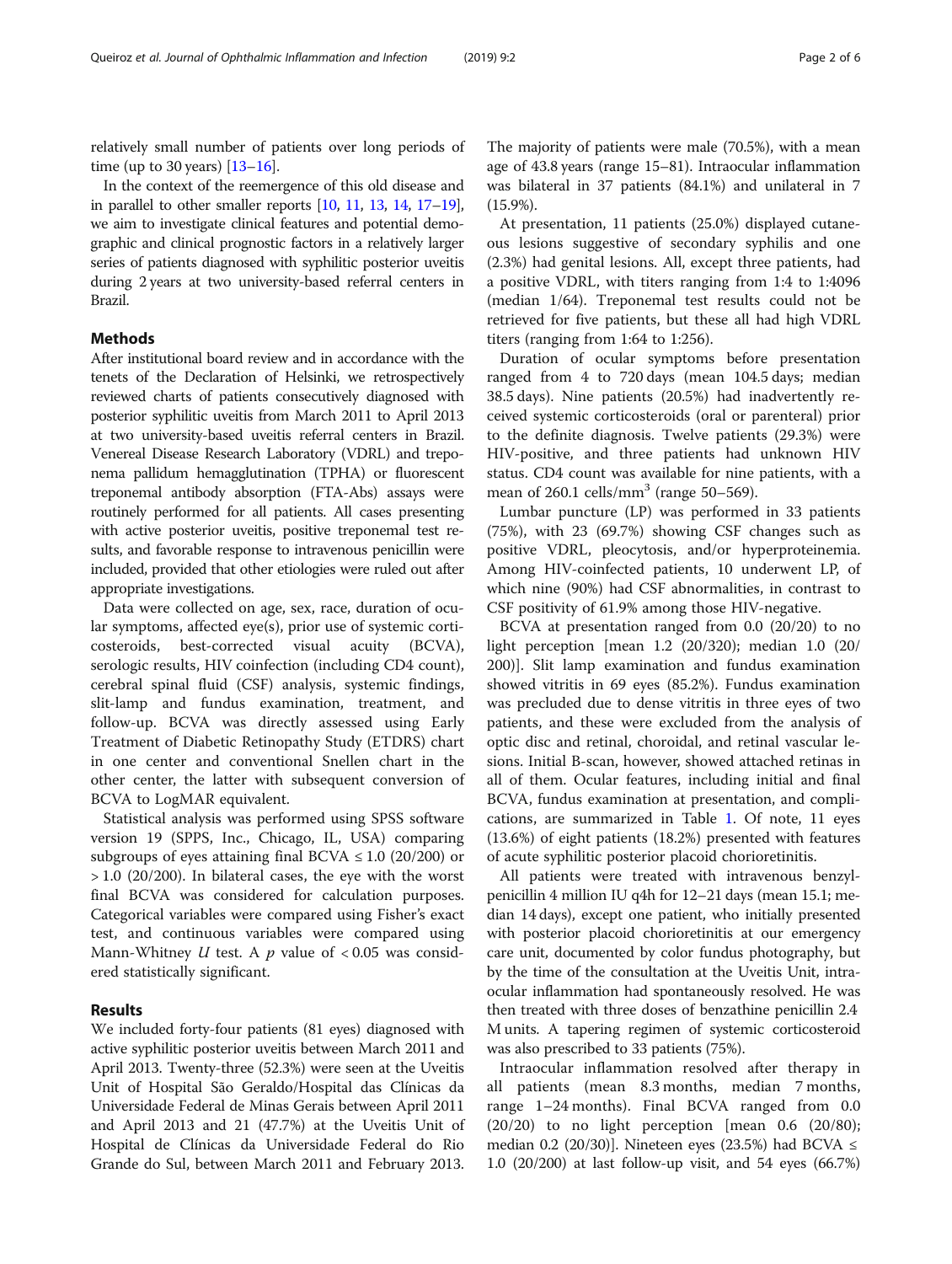relatively small number of patients over long periods of time (up to 30 years) [[13](#page-4-0)–[16\]](#page-5-0).

In the context of the reemergence of this old disease and in parallel to other smaller reports [\[10,](#page-4-0) [11,](#page-4-0) [13](#page-4-0), [14](#page-4-0), [17](#page-5-0)–[19](#page-5-0)], we aim to investigate clinical features and potential demographic and clinical prognostic factors in a relatively larger series of patients diagnosed with syphilitic posterior uveitis during 2 years at two university-based referral centers in Brazil.

## **Methods**

After institutional board review and in accordance with the tenets of the Declaration of Helsinki, we retrospectively reviewed charts of patients consecutively diagnosed with posterior syphilitic uveitis from March 2011 to April 2013 at two university-based uveitis referral centers in Brazil. Venereal Disease Research Laboratory (VDRL) and treponema pallidum hemagglutination (TPHA) or fluorescent treponemal antibody absorption (FTA-Abs) assays were routinely performed for all patients. All cases presenting with active posterior uveitis, positive treponemal test results, and favorable response to intravenous penicillin were included, provided that other etiologies were ruled out after appropriate investigations.

Data were collected on age, sex, race, duration of ocular symptoms, affected eye(s), prior use of systemic corticosteroids, best-corrected visual acuity (BCVA), serologic results, HIV coinfection (including CD4 count), cerebral spinal fluid (CSF) analysis, systemic findings, slit-lamp and fundus examination, treatment, and follow-up. BCVA was directly assessed using Early Treatment of Diabetic Retinopathy Study (ETDRS) chart in one center and conventional Snellen chart in the other center, the latter with subsequent conversion of BCVA to LogMAR equivalent.

Statistical analysis was performed using SPSS software version 19 (SPPS, Inc., Chicago, IL, USA) comparing subgroups of eyes attaining final BCVA  $\leq$  1.0 (20/200) or  $> 1.0$  (20/200). In bilateral cases, the eye with the worst final BCVA was considered for calculation purposes. Categorical variables were compared using Fisher's exact test, and continuous variables were compared using Mann-Whitney  $U$  test. A  $p$  value of < 0.05 was considered statistically significant.

### Results

We included forty-four patients (81 eyes) diagnosed with active syphilitic posterior uveitis between March 2011 and April 2013. Twenty-three (52.3%) were seen at the Uveitis Unit of Hospital São Geraldo/Hospital das Clínicas da Universidade Federal de Minas Gerais between April 2011 and April 2013 and 21 (47.7%) at the Uveitis Unit of Hospital de Clínicas da Universidade Federal do Rio Grande do Sul, between March 2011 and February 2013.

The majority of patients were male (70.5%), with a mean age of 43.8 years (range 15–81). Intraocular inflammation was bilateral in 37 patients (84.1%) and unilateral in 7 (15.9%).

At presentation, 11 patients (25.0%) displayed cutaneous lesions suggestive of secondary syphilis and one (2.3%) had genital lesions. All, except three patients, had a positive VDRL, with titers ranging from 1:4 to 1:4096 (median 1/64). Treponemal test results could not be retrieved for five patients, but these all had high VDRL titers (ranging from 1:64 to 1:256).

Duration of ocular symptoms before presentation ranged from 4 to 720 days (mean 104.5 days; median 38.5 days). Nine patients (20.5%) had inadvertently received systemic corticosteroids (oral or parenteral) prior to the definite diagnosis. Twelve patients (29.3%) were HIV-positive, and three patients had unknown HIV status. CD4 count was available for nine patients, with a mean of  $260.1$  cells/mm<sup>3</sup> (range  $50-569$ ).

Lumbar puncture (LP) was performed in 33 patients (75%), with 23 (69.7%) showing CSF changes such as positive VDRL, pleocytosis, and/or hyperproteinemia. Among HIV-coinfected patients, 10 underwent LP, of which nine (90%) had CSF abnormalities, in contrast to CSF positivity of 61.9% among those HIV-negative.

BCVA at presentation ranged from 0.0 (20/20) to no light perception [mean 1.2 (20/320); median 1.0 (20/ 200)]. Slit lamp examination and fundus examination showed vitritis in 69 eyes (85.2%). Fundus examination was precluded due to dense vitritis in three eyes of two patients, and these were excluded from the analysis of optic disc and retinal, choroidal, and retinal vascular lesions. Initial B-scan, however, showed attached retinas in all of them. Ocular features, including initial and final BCVA, fundus examination at presentation, and complications, are summarized in Table [1.](#page-2-0) Of note, 11 eyes (13.6%) of eight patients (18.2%) presented with features of acute syphilitic posterior placoid chorioretinitis.

All patients were treated with intravenous benzylpenicillin 4 million IU q4h for 12–21 days (mean 15.1; median 14 days), except one patient, who initially presented with posterior placoid chorioretinitis at our emergency care unit, documented by color fundus photography, but by the time of the consultation at the Uveitis Unit, intraocular inflammation had spontaneously resolved. He was then treated with three doses of benzathine penicillin 2.4 M units. A tapering regimen of systemic corticosteroid was also prescribed to 33 patients (75%).

Intraocular inflammation resolved after therapy in all patients (mean 8.3 months, median 7 months, range 1–24 months). Final BCVA ranged from 0.0  $(20/20)$  to no light perception [mean 0.6  $(20/80)$ ; median 0.2 (20/30)]. Nineteen eyes (23.5%) had BCVA  $\leq$ 1.0 (20/200) at last follow-up visit, and 54 eyes (66.7%)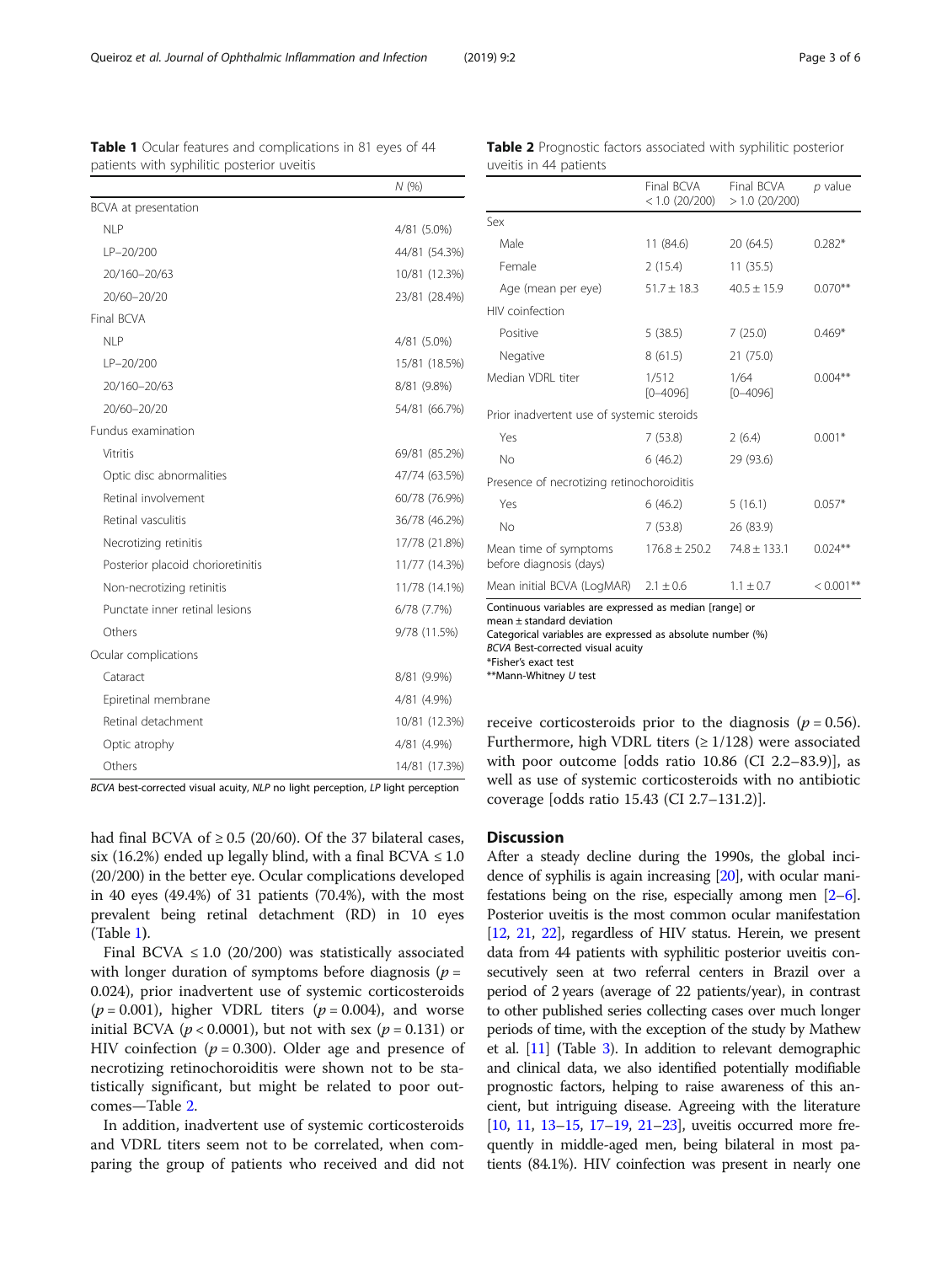BCVA best-corrected visual acuity, NLP no light perception, LP light perception

Cataract 8/81 (9.9%) Epiretinal membrane 4/81 (4.9%) Retinal detachment 10/81 (12.3%) Optic atrophy  $4/81$  (4.9%) Others 14/81 (17.3%)

had final BCVA of  $\geq$  0.5 (20/60). Of the 37 bilateral cases, six (16.2%) ended up legally blind, with a final BCVA  $\leq 1.0$ (20/200) in the better eye. Ocular complications developed in 40 eyes (49.4%) of 31 patients (70.4%), with the most prevalent being retinal detachment (RD) in 10 eyes (Table 1).

Final BCVA  $\leq$  1.0 (20/200) was statistically associated with longer duration of symptoms before diagnosis ( $p =$ 0.024), prior inadvertent use of systemic corticosteroids ( $p = 0.001$ ), higher VDRL titers ( $p = 0.004$ ), and worse initial BCVA ( $p < 0.0001$ ), but not with sex ( $p = 0.131$ ) or HIV coinfection ( $p = 0.300$ ). Older age and presence of necrotizing retinochoroiditis were shown not to be statistically significant, but might be related to poor outcomes—Table 2.

In addition, inadvertent use of systemic corticosteroids and VDRL titers seem not to be correlated, when comparing the group of patients who received and did not

receive corticosteroids prior to the diagnosis ( $p = 0.56$ ). Furthermore, high VDRL titers  $(≥ 1/128)$  were associated with poor outcome [odds ratio 10.86 (CI 2.2–83.9)], as well as use of systemic corticosteroids with no antibiotic coverage [odds ratio 15.43 (CI 2.7–131.2)].

Mean initial BCVA (LogMAR)  $2.1 \pm 0.6$   $1.1 \pm 0.7$   $< 0.001$ <sup>\*\*</sup>

Continuous variables are expressed as median [range] or

Categorical variables are expressed as absolute number (%)

#### **Discussion**

before diagnosis (days)

mean ± standard deviation

\*Fisher's exact test \*\*Mann-Whitney U test

BCVA Best-corrected visual acuity

After a steady decline during the 1990s, the global incidence of syphilis is again increasing [[20\]](#page-5-0), with ocular manifestations being on the rise, especially among men [\[2](#page-4-0)–[6](#page-4-0)]. Posterior uveitis is the most common ocular manifestation [[12](#page-4-0), [21,](#page-5-0) [22](#page-5-0)], regardless of HIV status. Herein, we present data from 44 patients with syphilitic posterior uveitis consecutively seen at two referral centers in Brazil over a period of 2 years (average of 22 patients/year), in contrast to other published series collecting cases over much longer periods of time, with the exception of the study by Mathew et al. [\[11](#page-4-0)] (Table [3\)](#page-3-0). In addition to relevant demographic and clinical data, we also identified potentially modifiable prognostic factors, helping to raise awareness of this ancient, but intriguing disease. Agreeing with the literature [[10](#page-4-0), [11](#page-4-0), [13](#page-4-0)–[15,](#page-5-0) [17](#page-5-0)–[19](#page-5-0), [21](#page-5-0)–[23\]](#page-5-0), uveitis occurred more frequently in middle-aged men, being bilateral in most patients (84.1%). HIV coinfection was present in nearly one

patients with syphilitic posterior uveitis

BCVA at presentation

Fundus examination

Ocular complications

Final BCVA

|                                            | Final BCVA<br>$< 1.0$ (20/200) | Final BCVA<br>$>1.0$ (20/200) | p value    |  |  |  |  |
|--------------------------------------------|--------------------------------|-------------------------------|------------|--|--|--|--|
| Sex                                        |                                |                               |            |  |  |  |  |
| Male                                       | 11 (84.6)                      | 20 (64.5)                     | $0.282*$   |  |  |  |  |
| Female                                     | 2(15.4)                        | 11(35.5)                      |            |  |  |  |  |
| Age (mean per eye)                         | $51.7 \pm 18.3$                | $40.5 \pm 15.9$               | $0.070**$  |  |  |  |  |
| HIV coinfection                            |                                |                               |            |  |  |  |  |
| Positive                                   | 5(38.5)                        | 7(25.0)                       | $0.469*$   |  |  |  |  |
| Negative                                   | 8(61.5)                        | 21 (75.0)                     |            |  |  |  |  |
| Median VDRL titer                          | 1/512<br>$[0 - 4096]$          | 1/64<br>$[0 - 4096]$          | $0.004***$ |  |  |  |  |
| Prior inadvertent use of systemic steroids |                                |                               |            |  |  |  |  |
| Yes                                        | 7(53.8)                        | 2(6.4)                        | $0.001*$   |  |  |  |  |
| No                                         | 6(46.2)                        | 29 (93.6)                     |            |  |  |  |  |
| Presence of necrotizing retinochoroiditis  |                                |                               |            |  |  |  |  |
| Yes                                        | 6(46.2)                        | 5(16.1)                       | $0.057*$   |  |  |  |  |
| No.                                        | 7(53.8)                        | 26 (83.9)                     |            |  |  |  |  |
| Mean time of symptoms                      | $176.8 \pm 250.2$              | $74.8 \pm 133.1$              | $0.024***$ |  |  |  |  |

Table 2 Prognostic factors associated with syphilitic posterior

uveitis in 44 patients

<span id="page-2-0"></span>Table 1 Ocular features and complications in 81 eyes of 44

NLP 4/81 (5.0%) LP–20/200 44/81 (54.3%) 20/160–20/63 10/81 (12.3%) 20/60–20/20 23/81 (28.4%)

NLP 4/81 (5.0%) LP–20/200 15/81 (18.5%) 20/160–20/63 8/81 (9.8%) 20/60–20/20 54/81 (66.7%)

Vitritis 69/81 (85.2%) Optic disc abnormalities 47/74 (63.5%) Retinal involvement 60/78 (76.9%) Retinal vasculitis 36/78 (46.2%) Necrotizing retinitis 17/78 (21.8%) Posterior placoid chorioretinitis 11/77 (14.3%) Non-necrotizing retinitis 11/78 (14.1%) Punctate inner retinal lesions 6/78 (7.7%) Others 9/78 (11.5%)

N (%)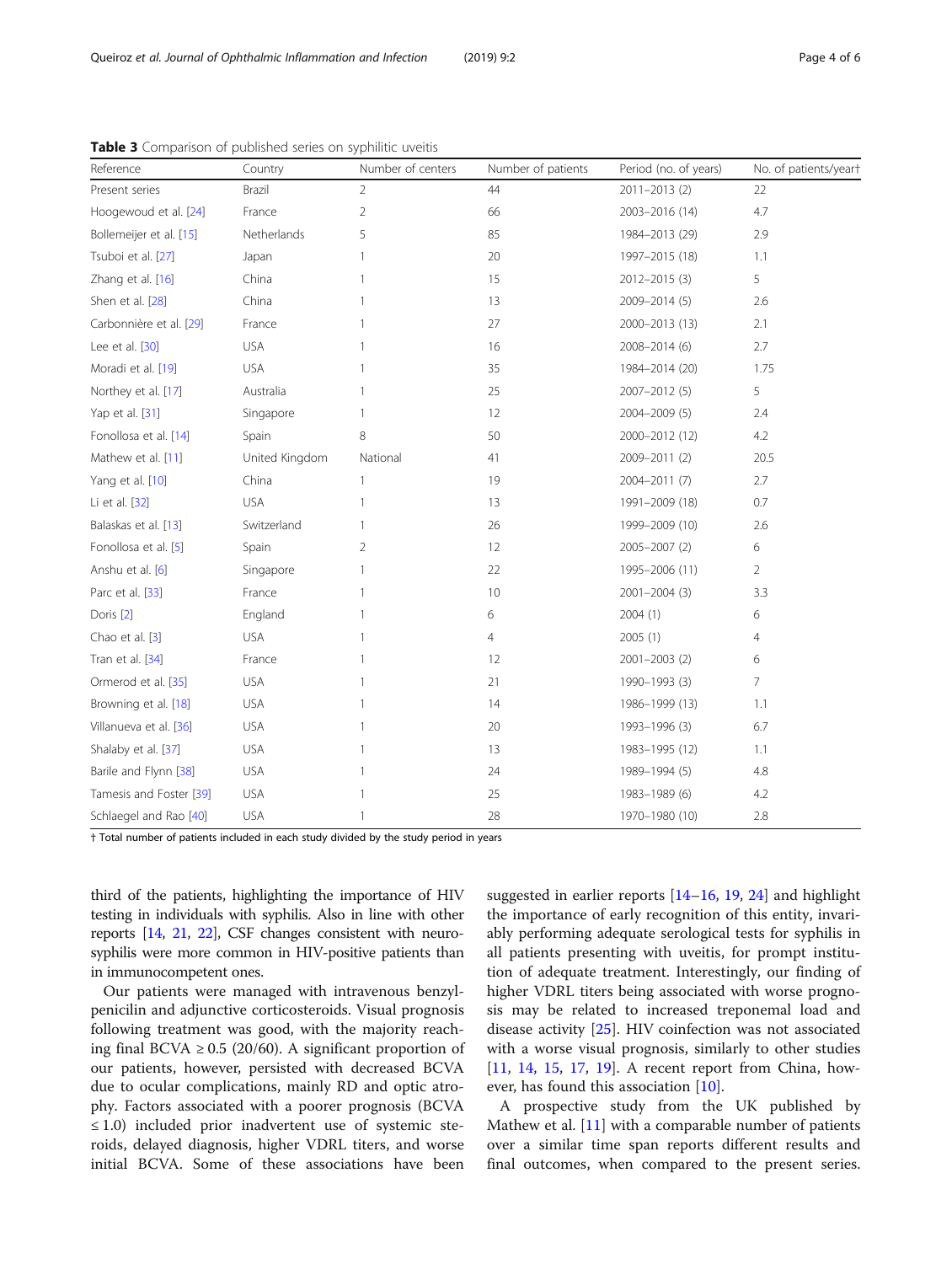| Reference               | Country        | Number of centers | Number of patients | Period (no. of years) | No. of patients/yeart |
|-------------------------|----------------|-------------------|--------------------|-----------------------|-----------------------|
| Present series          | Brazil         | 2                 | 44                 | 2011-2013 (2)         | 22                    |
| Hoogewoud et al. [24]   | France         | $\overline{2}$    | 66                 | 2003-2016 (14)        | 4.7                   |
| Bollemeijer et al. [15] | Netherlands    | 5                 | 85                 | 1984-2013 (29)        | 2.9                   |
| Tsuboi et al. [27]      | Japan          |                   | 20                 | 1997-2015 (18)        | 1.1                   |
| Zhang et al. [16]       | China          |                   | 15                 | 2012-2015 (3)         | 5                     |
| Shen et al. [28]        | China          |                   | 13                 | 2009-2014 (5)         | 2.6                   |
| Carbonnière et al. [29] | France         | 1                 | 27                 | 2000-2013 (13)        | 2.1                   |
| Lee et al. [30]         | <b>USA</b>     |                   | 16                 | 2008-2014 (6)         | 2.7                   |
| Moradi et al. [19]      | <b>USA</b>     |                   | 35                 | 1984-2014 (20)        | 1.75                  |
| Northey et al. [17]     | Australia      |                   | 25                 | 2007-2012 (5)         | 5                     |
| Yap et al. [31]         | Singapore      | 1                 | 12                 | 2004-2009 (5)         | 2.4                   |
| Fonollosa et al. [14]   | Spain          | 8                 | 50                 | 2000-2012 (12)        | 4.2                   |
| Mathew et al. [11]      | United Kingdom | National          | 41                 | 2009-2011 (2)         | 20.5                  |
| Yang et al. [10]        | China          | 1                 | 19                 | 2004-2011 (7)         | 2.7                   |
| Li et al. [32]          | <b>USA</b>     | 1                 | 13                 | 1991-2009 (18)        | 0.7                   |
| Balaskas et al. [13]    | Switzerland    |                   | 26                 | 1999-2009 (10)        | 2.6                   |
| Fonollosa et al. [5]    | Spain          | 2                 | 12                 | 2005-2007 (2)         | 6                     |
| Anshu et al. [6]        | Singapore      | 1                 | 22                 | 1995-2006 (11)        | $\overline{2}$        |
| Parc et al. [33]        | France         | 1                 | 10                 | 2001-2004 (3)         | 3.3                   |
| Doris <sup>[2]</sup>    | England        |                   | 6                  | 2004(1)               | 6                     |
| Chao et al. [3]         | <b>USA</b>     |                   | 4                  | 2005(1)               | 4                     |
| Tran et al. [34]        | France         | 1                 | 12                 | $2001 - 2003$ (2)     | 6                     |
| Ormerod et al. [35]     | <b>USA</b>     | 1                 | 21                 | 1990-1993 (3)         | $\overline{7}$        |
| Browning et al. [18]    | <b>USA</b>     | 1                 | 14                 | 1986-1999 (13)        | 1.1                   |
| Villanueva et al. [36]  | <b>USA</b>     | 1                 | 20                 | 1993-1996 (3)         | 6.7                   |
| Shalaby et al. [37]     | <b>USA</b>     | 1                 | 13                 | 1983-1995 (12)        | 1.1                   |
| Barile and Flynn [38]   | <b>USA</b>     | 1                 | 24                 | 1989-1994 (5)         | 4.8                   |
| Tamesis and Foster [39] | <b>USA</b>     | 1                 | 25                 | 1983-1989 (6)         | 4.2                   |
| Schlaegel and Rao [40]  | <b>USA</b>     | 1                 | 28                 | 1970-1980 (10)        | 2.8                   |

<span id="page-3-0"></span>Table 3 Comparison of published series on syphilitic uveitis

† Total number of patients included in each study divided by the study period in years

third of the patients, highlighting the importance of HIV testing in individuals with syphilis. Also in line with other reports [\[14](#page-4-0), [21](#page-5-0), [22](#page-5-0)], CSF changes consistent with neurosyphilis were more common in HIV-positive patients than in immunocompetent ones.

Our patients were managed with intravenous benzylpenicilin and adjunctive corticosteroids. Visual prognosis following treatment was good, with the majority reaching final BCVA  $\geq$  0.5 (20/60). A significant proportion of our patients, however, persisted with decreased BCVA due to ocular complications, mainly RD and optic atrophy. Factors associated with a poorer prognosis (BCVA ≤ 1.0) included prior inadvertent use of systemic steroids, delayed diagnosis, higher VDRL titers, and worse initial BCVA. Some of these associations have been

suggested in earlier reports [\[14](#page-4-0)–[16,](#page-5-0) [19,](#page-5-0) [24](#page-5-0)] and highlight the importance of early recognition of this entity, invariably performing adequate serological tests for syphilis in all patients presenting with uveitis, for prompt institution of adequate treatment. Interestingly, our finding of higher VDRL titers being associated with worse prognosis may be related to increased treponemal load and disease activity [[25\]](#page-5-0). HIV coinfection was not associated with a worse visual prognosis, similarly to other studies [[11,](#page-4-0) [14,](#page-4-0) [15](#page-5-0), [17](#page-5-0), [19\]](#page-5-0). A recent report from China, however, has found this association [\[10](#page-4-0)].

A prospective study from the UK published by Mathew et al. [\[11](#page-4-0)] with a comparable number of patients over a similar time span reports different results and final outcomes, when compared to the present series.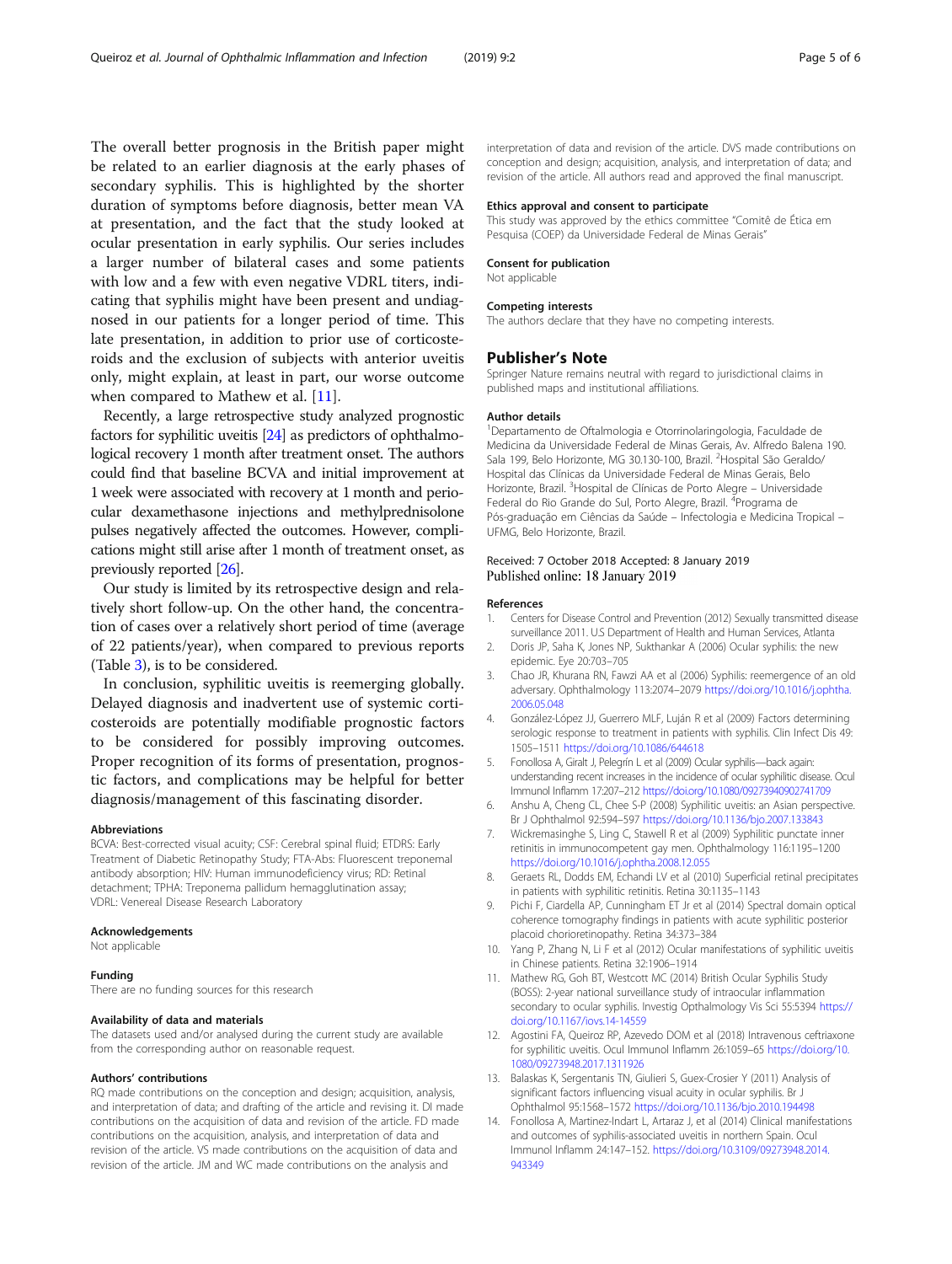<span id="page-4-0"></span>The overall better prognosis in the British paper might be related to an earlier diagnosis at the early phases of secondary syphilis. This is highlighted by the shorter duration of symptoms before diagnosis, better mean VA at presentation, and the fact that the study looked at ocular presentation in early syphilis. Our series includes a larger number of bilateral cases and some patients with low and a few with even negative VDRL titers, indicating that syphilis might have been present and undiagnosed in our patients for a longer period of time. This late presentation, in addition to prior use of corticosteroids and the exclusion of subjects with anterior uveitis only, might explain, at least in part, our worse outcome when compared to Mathew et al. [11].

Recently, a large retrospective study analyzed prognostic factors for syphilitic uveitis [\[24](#page-5-0)] as predictors of ophthalmological recovery 1 month after treatment onset. The authors could find that baseline BCVA and initial improvement at 1 week were associated with recovery at 1 month and periocular dexamethasone injections and methylprednisolone pulses negatively affected the outcomes. However, complications might still arise after 1 month of treatment onset, as previously reported [\[26](#page-5-0)].

Our study is limited by its retrospective design and relatively short follow-up. On the other hand, the concentration of cases over a relatively short period of time (average of 22 patients/year), when compared to previous reports (Table [3\)](#page-3-0), is to be considered.

In conclusion, syphilitic uveitis is reemerging globally. Delayed diagnosis and inadvertent use of systemic corticosteroids are potentially modifiable prognostic factors to be considered for possibly improving outcomes. Proper recognition of its forms of presentation, prognostic factors, and complications may be helpful for better diagnosis/management of this fascinating disorder.

#### Abbreviations

BCVA: Best-corrected visual acuity; CSF: Cerebral spinal fluid; ETDRS: Early Treatment of Diabetic Retinopathy Study; FTA-Abs: Fluorescent treponemal antibody absorption; HIV: Human immunodeficiency virus; RD: Retinal detachment; TPHA: Treponema pallidum hemagglutination assay; VDRL: Venereal Disease Research Laboratory

#### Acknowledgements

Not applicable

#### Funding

There are no funding sources for this research

#### Availability of data and materials

The datasets used and/or analysed during the current study are available from the corresponding author on reasonable request.

#### Authors' contributions

RQ made contributions on the conception and design; acquisition, analysis, and interpretation of data; and drafting of the article and revising it. DI made contributions on the acquisition of data and revision of the article. FD made contributions on the acquisition, analysis, and interpretation of data and revision of the article. VS made contributions on the acquisition of data and revision of the article. JM and WC made contributions on the analysis and

interpretation of data and revision of the article. DVS made contributions on conception and design; acquisition, analysis, and interpretation of data; and revision of the article. All authors read and approved the final manuscript.

#### Ethics approval and consent to participate

This study was approved by the ethics committee "Comitê de Ética em Pesquisa (COEP) da Universidade Federal de Minas Gerais"

## Consent for publication

Not applicable

#### Competing interests

The authors declare that they have no competing interests.

#### Publisher's Note

Springer Nature remains neutral with regard to jurisdictional claims in published maps and institutional affiliations.

#### Author details

1 Departamento de Oftalmologia e Otorrinolaringologia, Faculdade de Medicina da Universidade Federal de Minas Gerais, Av. Alfredo Balena 190. Sala 199, Belo Horizonte, MG 30.130-100, Brazil. <sup>2</sup>Hospital São Geraldo/ Hospital das Clínicas da Universidade Federal de Minas Gerais, Belo Horizonte, Brazil. <sup>3</sup> Hospital de Clínicas de Porto Alegre - Universidade Federal do Rio Grande do Sul, Porto Alegre, Brazil. <sup>4</sup>Programa de Pós-graduação em Ciências da Saúde – Infectologia e Medicina Tropical – UFMG, Belo Horizonte, Brazil.

#### Received: 7 October 2018 Accepted: 8 January 2019 Published online: 18 January 2019

#### References

- 1. Centers for Disease Control and Prevention (2012) Sexually transmitted disease surveillance 2011. U.S Department of Health and Human Services, Atlanta
- 2. Doris JP, Saha K, Jones NP, Sukthankar A (2006) Ocular syphilis: the new epidemic. Eye 20:703–705
- 3. Chao JR, Khurana RN, Fawzi AA et al (2006) Syphilis: reemergence of an old adversary. Ophthalmology 113:2074–2079 [https://doi.org/10.1016/j.ophtha.](https://doi.org/10.1016/j.ophtha.2006.05.048) [2006.05.048](https://doi.org/10.1016/j.ophtha.2006.05.048)
- 4. González-López JJ, Guerrero MLF, Luján R et al (2009) Factors determining serologic response to treatment in patients with syphilis. Clin Infect Dis 49: 1505–1511 <https://doi.org/10.1086/644618>
- 5. Fonollosa A, Giralt J, Pelegrín L et al (2009) Ocular syphilis—back again: understanding recent increases in the incidence of ocular syphilitic disease. Ocul Immunol Inflamm 17:207–212 <https://doi.org/10.1080/09273940902741709>
- 6. Anshu A, Cheng CL, Chee S-P (2008) Syphilitic uveitis: an Asian perspective. Br J Ophthalmol 92:594–597 <https://doi.org/10.1136/bjo.2007.133843>
- 7. Wickremasinghe S, Ling C, Stawell R et al (2009) Syphilitic punctate inner retinitis in immunocompetent gay men. Ophthalmology 116:1195–1200 <https://doi.org/10.1016/j.ophtha.2008.12.055>
- 8. Geraets RL, Dodds EM, Echandi LV et al (2010) Superficial retinal precipitates in patients with syphilitic retinitis. Retina 30:1135–1143
- 9. Pichi F, Ciardella AP, Cunningham ET Jr et al (2014) Spectral domain optical coherence tomography findings in patients with acute syphilitic posterior placoid chorioretinopathy. Retina 34:373–384
- 10. Yang P, Zhang N, Li F et al (2012) Ocular manifestations of syphilitic uveitis in Chinese patients. Retina 32:1906–1914
- 11. Mathew RG, Goh BT, Westcott MC (2014) British Ocular Syphilis Study (BOSS): 2-year national surveillance study of intraocular inflammation secondary to ocular syphilis. Investig Opthalmology Vis Sci 55:5394 [https://](https://doi.org/10.1167/iovs.14-14559) [doi.org/10.1167/iovs.14-14559](https://doi.org/10.1167/iovs.14-14559)
- 12. Agostini FA, Queiroz RP, Azevedo DOM et al (2018) Intravenous ceftriaxone for syphilitic uveitis. Ocul Immunol Inflamm 26:1059–65 [https://doi.org/10.](https://doi.org/10.1080/09273948.2017.1311926) [1080/09273948.2017.1311926](https://doi.org/10.1080/09273948.2017.1311926)
- 13. Balaskas K, Sergentanis TN, Giulieri S, Guex-Crosier Y (2011) Analysis of significant factors influencing visual acuity in ocular syphilis. Br J Ophthalmol 95:1568–1572 <https://doi.org/10.1136/bjo.2010.194498>
- 14. Fonollosa A, Martinez-Indart L, Artaraz J, et al (2014) Clinical manifestations and outcomes of syphilis-associated uveitis in northern Spain. Ocul Immunol Inflamm 24:147–152. [https://doi.org/10.3109/09273948.2014.](https://doi.org/10.3109/09273948.2014.943349) [943349](https://doi.org/10.3109/09273948.2014.943349)